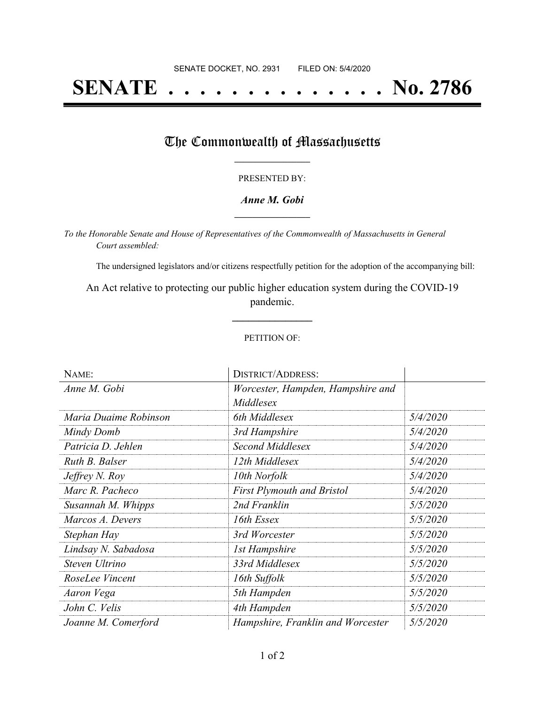# **SENATE . . . . . . . . . . . . . . No. 2786**

### The Commonwealth of Massachusetts

#### PRESENTED BY:

#### *Anne M. Gobi* **\_\_\_\_\_\_\_\_\_\_\_\_\_\_\_\_\_**

*To the Honorable Senate and House of Representatives of the Commonwealth of Massachusetts in General Court assembled:*

The undersigned legislators and/or citizens respectfully petition for the adoption of the accompanying bill:

An Act relative to protecting our public higher education system during the COVID-19 pandemic.

**\_\_\_\_\_\_\_\_\_\_\_\_\_\_\_**

#### PETITION OF:

| NAME:                 | <b>DISTRICT/ADDRESS:</b>          |          |
|-----------------------|-----------------------------------|----------|
| Anne M. Gobi          | Worcester, Hampden, Hampshire and |          |
|                       | Middlesex                         |          |
| Maria Duaime Robinson | 6th Middlesex                     | 5/4/2020 |
| Mindy Domb            | 3rd Hampshire                     | 5/4/2020 |
| Patricia D. Jehlen    | Second Middlesex                  | 5/4/2020 |
| Ruth B. Balser        | 12th Middlesex                    | 5/4/2020 |
| Jeffrey N. Roy        | 10th Norfolk                      | 5/4/2020 |
| Marc R. Pacheco       | First Plymouth and Bristol        | 5/4/2020 |
| Susannah M. Whipps    | 2nd Franklin                      | 5/5/2020 |
| Marcos A. Devers      | 16th Essex                        | 5/5/2020 |
| Stephan Hay           | 3rd Worcester                     | 5/5/2020 |
| Lindsay N. Sabadosa   | <b>1st Hampshire</b>              | 5/5/2020 |
| Steven Ultrino        | 33rd Middlesex                    | 5/5/2020 |
| RoseLee Vincent       | 16th Suffolk                      | 5/5/2020 |
| Aaron Vega            | 5th Hampden                       | 5/5/2020 |
| John C. Velis         | 4th Hampden                       | 5/5/2020 |
| Joanne M. Comerford   | Hampshire, Franklin and Worcester | 5/5/2020 |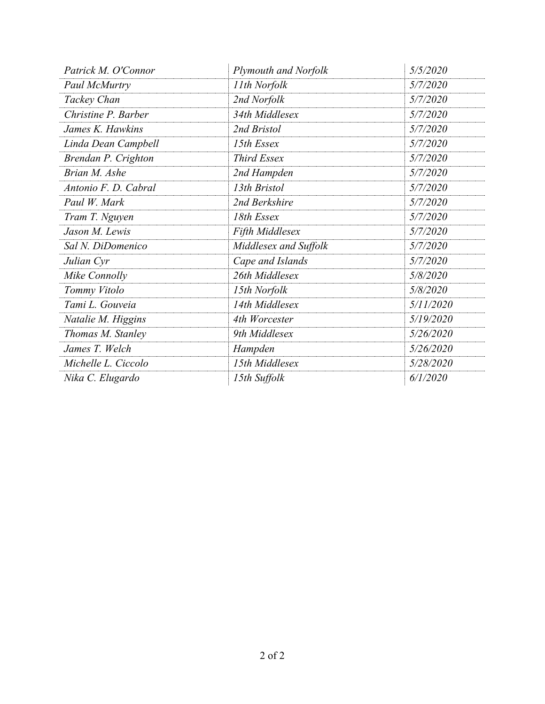| Patrick M. O'Connor  | <b>Plymouth and Norfolk</b> | 5/5/2020  |
|----------------------|-----------------------------|-----------|
| Paul McMurtry        | 11th Norfolk                | 5/7/2020  |
| Tackey Chan          | 2nd Norfolk                 | 5/7/2020  |
| Christine P. Barber  | 34th Middlesex              | 5/7/2020  |
| James K. Hawkins     | 2nd Bristol                 | 5/7/2020  |
| Linda Dean Campbell  | 15th Essex                  | 5/7/2020  |
| Brendan P. Crighton  | <b>Third Essex</b>          | 5/7/2020  |
| Brian M. Ashe        | 2nd Hampden                 | 5/7/2020  |
| Antonio F. D. Cabral | 13th Bristol                | 5/7/2020  |
| Paul W. Mark         | 2nd Berkshire               | 5/7/2020  |
| Tram T. Nguyen       | 18th Essex                  | 5/7/2020  |
| Jason M. Lewis       | <b>Fifth Middlesex</b>      | 5/7/2020  |
| Sal N. DiDomenico    | Middlesex and Suffolk       | 5/7/2020  |
| Julian Cyr           | Cape and Islands            | 5/7/2020  |
| Mike Connolly        | 26th Middlesex              | 5/8/2020  |
| Tommy Vitolo         | 15th Norfolk                | 5/8/2020  |
| Tami L. Gouveia      | 14th Middlesex              | 5/11/2020 |
| Natalie M. Higgins   | 4th Worcester               | 5/19/2020 |
| Thomas M. Stanley    | 9th Middlesex               | 5/26/2020 |
| James T. Welch       | Hampden                     | 5/26/2020 |
| Michelle L. Ciccolo  | 15th Middlesex              | 5/28/2020 |
| Nika C. Elugardo     | 15th Suffolk                | 6/1/2020  |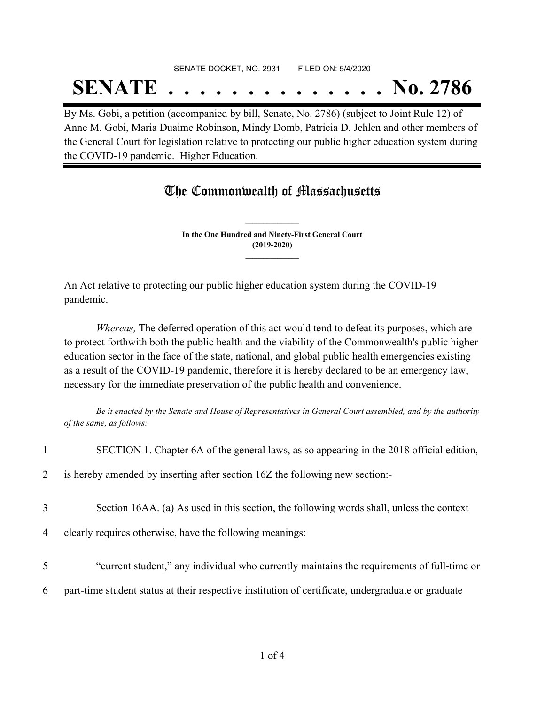## SENATE DOCKET, NO. 2931 FILED ON: 5/4/2020 **SENATE . . . . . . . . . . . . . . No. 2786**

By Ms. Gobi, a petition (accompanied by bill, Senate, No. 2786) (subject to Joint Rule 12) of Anne M. Gobi, Maria Duaime Robinson, Mindy Domb, Patricia D. Jehlen and other members of the General Court for legislation relative to protecting our public higher education system during the COVID-19 pandemic. Higher Education.

## The Commonwealth of Massachusetts

**In the One Hundred and Ninety-First General Court (2019-2020) \_\_\_\_\_\_\_\_\_\_\_\_\_\_\_**

**\_\_\_\_\_\_\_\_\_\_\_\_\_\_\_**

An Act relative to protecting our public higher education system during the COVID-19 pandemic.

*Whereas,* The deferred operation of this act would tend to defeat its purposes, which are to protect forthwith both the public health and the viability of the Commonwealth's public higher education sector in the face of the state, national, and global public health emergencies existing as a result of the COVID-19 pandemic, therefore it is hereby declared to be an emergency law, necessary for the immediate preservation of the public health and convenience.

Be it enacted by the Senate and House of Representatives in General Court assembled, and by the authority *of the same, as follows:*

| $\mathbf{1}$   | SECTION 1. Chapter 6A of the general laws, as so appearing in the 2018 official edition,           |
|----------------|----------------------------------------------------------------------------------------------------|
| $\overline{2}$ | is hereby amended by inserting after section 16Z the following new section:-                       |
| 3              | Section 16AA. (a) As used in this section, the following words shall, unless the context           |
| 4              | clearly requires otherwise, have the following meanings:                                           |
| 5              | "current student," any individual who currently maintains the requirements of full-time or         |
| 6              | part-time student status at their respective institution of certificate, undergraduate or graduate |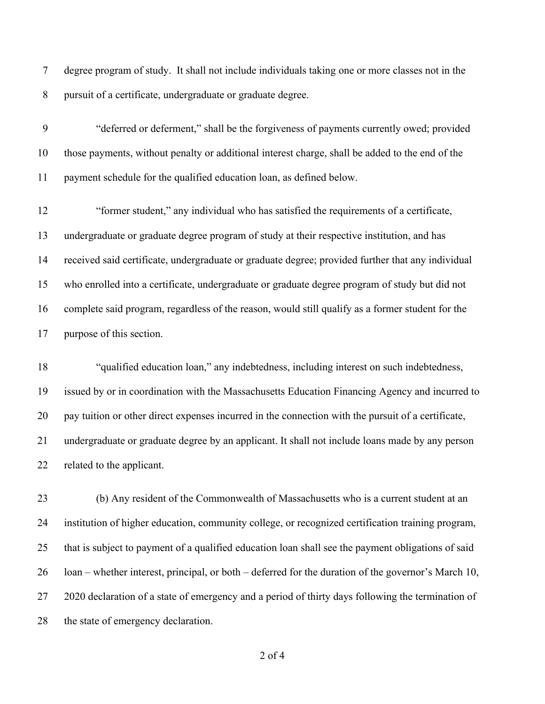degree program of study. It shall not include individuals taking one or more classes not in the pursuit of a certificate, undergraduate or graduate degree.

 "deferred or deferment," shall be the forgiveness of payments currently owed; provided those payments, without penalty or additional interest charge, shall be added to the end of the payment schedule for the qualified education loan, as defined below.

 "former student," any individual who has satisfied the requirements of a certificate, undergraduate or graduate degree program of study at their respective institution, and has received said certificate, undergraduate or graduate degree; provided further that any individual who enrolled into a certificate, undergraduate or graduate degree program of study but did not complete said program, regardless of the reason, would still qualify as a former student for the purpose of this section.

 "qualified education loan," any indebtedness, including interest on such indebtedness, issued by or in coordination with the Massachusetts Education Financing Agency and incurred to pay tuition or other direct expenses incurred in the connection with the pursuit of a certificate, undergraduate or graduate degree by an applicant. It shall not include loans made by any person related to the applicant.

 (b) Any resident of the Commonwealth of Massachusetts who is a current student at an institution of higher education, community college, or recognized certification training program, that is subject to payment of a qualified education loan shall see the payment obligations of said loan – whether interest, principal, or both – deferred for the duration of the governor's March 10, 2020 declaration of a state of emergency and a period of thirty days following the termination of the state of emergency declaration.

of 4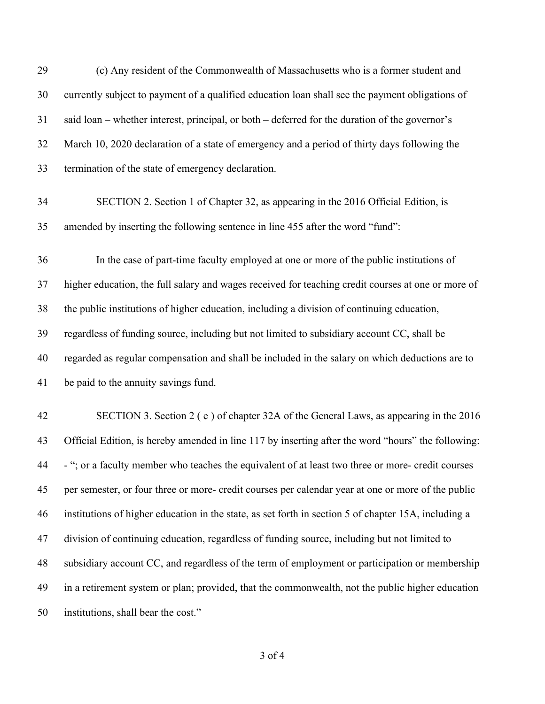| 29 | (c) Any resident of the Commonwealth of Massachusetts who is a former student and                    |
|----|------------------------------------------------------------------------------------------------------|
| 30 | currently subject to payment of a qualified education loan shall see the payment obligations of      |
| 31 | said loan – whether interest, principal, or both – deferred for the duration of the governor's       |
| 32 | March 10, 2020 declaration of a state of emergency and a period of thirty days following the         |
| 33 | termination of the state of emergency declaration.                                                   |
| 34 | SECTION 2. Section 1 of Chapter 32, as appearing in the 2016 Official Edition, is                    |
| 35 | amended by inserting the following sentence in line 455 after the word "fund":                       |
| 36 | In the case of part-time faculty employed at one or more of the public institutions of               |
| 37 | higher education, the full salary and wages received for teaching credit courses at one or more of   |
| 38 | the public institutions of higher education, including a division of continuing education,           |
| 39 | regardless of funding source, including but not limited to subsidiary account CC, shall be           |
| 40 | regarded as regular compensation and shall be included in the salary on which deductions are to      |
| 41 | be paid to the annuity savings fund.                                                                 |
| 42 | SECTION 3. Section 2 (e) of chapter 32A of the General Laws, as appearing in the 2016                |
| 43 | Official Edition, is hereby amended in line 117 by inserting after the word "hours" the following:   |
| 44 | - "; or a faculty member who teaches the equivalent of at least two three or more- credit courses    |
| 45 | per semester, or four three or more- credit courses per calendar year at one or more of the public   |
| 46 | institutions of higher education in the state, as set forth in section 5 of chapter 15A, including a |
| 47 | division of continuing education, regardless of funding source, including but not limited to         |
| 48 | subsidiary account CC, and regardless of the term of employment or participation or membership       |
| 49 | in a retirement system or plan; provided, that the commonwealth, not the public higher education     |
| 50 | institutions, shall bear the cost."                                                                  |

of 4